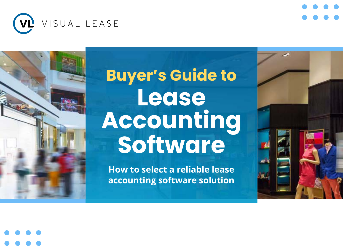

# **Buyer's Guide to Lease Accounting Software**

**How to select a reliable lease accounting software solution**



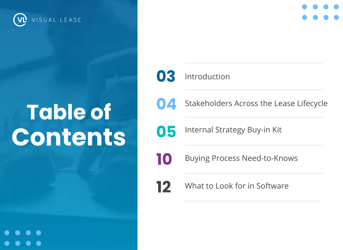

# **Table of Contents**

**03**



Stakeholders Across the Lease Lifecycle

**05**

Internal Strategy Buy-in Kit

Introduction

Buying Process Need-to-Knows

**12**

**10**

What to Look for in Software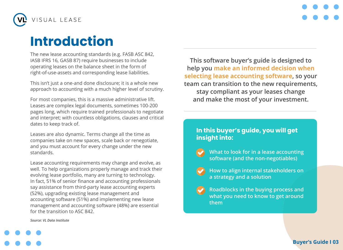

## **Introduction**

The new lease accounting standards (e.g. FASB ASC 842, IASB IFRS 16, GASB 87) require businesses to include operating leases on the balance sheet in the form of right-of-use-assets and corresponding lease liabilities.

This isn't just a one-and done disclosure; it is a whole new approach to accounting with a much higher level of scrutiny.

For most companies, this is a massive administrative lift. Leases are complex legal documents, sometimes 100-200 pages long, which require trained professionals to negotiate and interpret; with countless obligations, clauses and critical dates to keep track of.

Leases are also dynamic. Terms change all the time as companies take on new spaces, scale back or renegotiate, and you must account for every change under the new standards.

Lease accounting requirements may change and evolve, as well. To help organizations properly manage and track their evolving lease portfolio, many are turning to technology. In fact, 51% of senior finance and accounting professionals say assistance from third-party lease accounting experts (52%), upgrading existing lease management and accounting software (51%) and implementing new lease management and accounting software (48%) are essential for the transition to ASC 842.

**This software buyer's guide is designed to help you make an informed decision when selecting lease accounting software, so your team can transition to the new requirements, stay compliant as your leases change and make the most of your investment.**

#### **In this buyer's guide, you will get insight into:**

- **What to look for in a lease accounting software (and the non-negotiables)**
- **How to align internal stakeholders on a strategy and a solution**
- **Roadblocks in the buying process and what you need to know to get around them**

*Source: VL Data Institute*

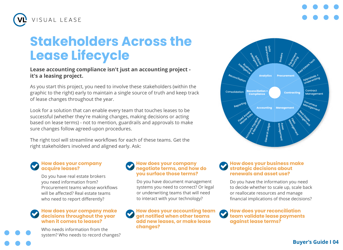

### **Stakeholders Across the Lease Lifecycle**

#### **Lease accounting compliance isn't just an accounting project it's a leasing project.**

As you start this project, you need to involve these stakeholders (within the graphic to the right) early to maintain a single source of truth and keep track of lease changes throughout the year.

Look for a solution that can enable every team that touches leases to be successful (whether they're making changes, making decisions or acting based on lease terms) - not to mention, guardrails and approvals to make sure changes follow agreed-upon procedures.

The right tool will streamline workflows for each of these teams. Get the right stakeholders involved and aligned early. Ask:

#### **How does your company acquire leases?**

Do you have real estate brokers you need information from? Procurement teams whose workflows will be affected? Real estate teams who need to report differently?

#### **How does your company make decisions throughout the year when it comes to leases?**

Who needs information from the system? Who needs to record changes?

#### **How does your company negotiate terms, and how do you surface those terms?**

Do you have document management systems you need to connect? Or legal or underwriting teams that will need to interact with your technology?

**How does your accounting team get notified when other teams add new leases, or make lease changes?** 



#### **How does your business make strategic decisions about renewals and asset use?**

Do you have the information you need to decide whether to scale up, scale back or reallocate resources and manage financial implications of those decisions?

#### **How does your reconciliation team validate lease payments against lease terms?**

#### **Buyer's Guide I 04**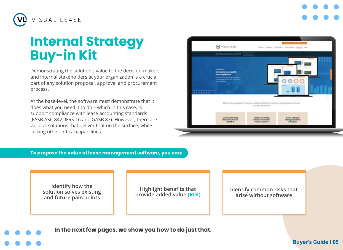

## **Internal Strategy Buy-in Kit**

Demonstrating the solution's value to the decision-makers and internal stakeholders at your organization is a crucial part of any solution proposal, approval and procurement process.

At the base-level, the software must demonstrate that it does what you need it to do – which in this case, is support compliance with lease accounting standards (FASB ASC 842, IFRS 16 and GASB 87). However, there are various solutions that deliver that on the surface, while lacking other critical capabilities.



**To propose the value of lease management software, you can:** 

**Identify how the solution solves existing and future pain points**

**Highlight benefits that provide added value (ROI)** **Identify common risks that arise without software**

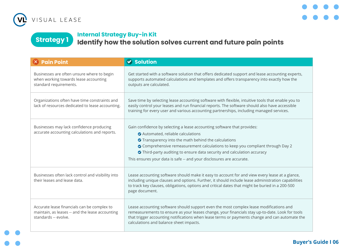



### **Internal Strategy Buy-in Kit**

**Strategy 1 Identify how the solution solves current and future pain points** 

| $\times$ Pain Point                                                                                                    | <b>◆ Solution</b>                                                                                                                                                                                                                                                                                                                                                                                      |
|------------------------------------------------------------------------------------------------------------------------|--------------------------------------------------------------------------------------------------------------------------------------------------------------------------------------------------------------------------------------------------------------------------------------------------------------------------------------------------------------------------------------------------------|
| Businesses are often unsure where to begin<br>when working towards lease accounting<br>standard requirements.          | Get started with a software solution that offers dedicated support and lease accounting experts,<br>supports automated calculations and templates and offers transparency into exactly how the<br>outputs are calculated.                                                                                                                                                                              |
| Organizations often have time constraints and<br>lack of resources dedicated to lease accounting.                      | Save time by selecting lease accounting software with flexible, intuitive tools that enable you to<br>easily control your leases and run financial reports. The software should also have accessible<br>training for every user and various accounting partnerships, including managed services.                                                                                                       |
| Businesses may lack confidence producing<br>accurate accounting calculations and reports.                              | Gain confidence by selecting a lease accounting software that provides:<br>Automated, reliable calculations<br>◆ Transparency into the math behind the calculations<br>O Comprehensive remeasurement calculations to keep you compliant through Day 2<br>Third-party auditing to ensure data security and calculation accuracy<br>This ensures your data is safe -- and your disclosures are accurate. |
| Businesses often lack control and visibility into<br>their leases and lease data.                                      | Lease accounting software should make it easy to account for and view every lease at a glance,<br>including unique clauses and options. Further, it should include lease administration capabilities<br>to track key clauses, obligations, options and critical dates that might be buried in a 200-500<br>page document.                                                                              |
| Accurate lease financials can be complex to<br>maintain, as leases -- and the lease accounting<br>standards -- evolve. | Lease accounting software should support even the most complex lease modifications and<br>remeasurements to ensure as your leases change, your financials stay up-to-date. Look for tools<br>that trigger accounting notifications when lease terms or payments change and can automate the<br>calculations and balance sheet impacts.                                                                 |

#### **Buyer's Guide I 06**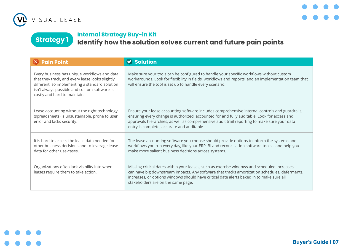



**Strategy 1 Internal Strategy Buy-in Kit Identify how the solution solves current and future pain points** 

| $\times$ Pain Point                                                                                                                                                                                                               | <b>◆ Solution</b>                                                                                                                                                                                                                                                                                                                           |
|-----------------------------------------------------------------------------------------------------------------------------------------------------------------------------------------------------------------------------------|---------------------------------------------------------------------------------------------------------------------------------------------------------------------------------------------------------------------------------------------------------------------------------------------------------------------------------------------|
| Every business has unique workflows and data<br>that they track, and every lease looks slightly<br>different, so implementing a standard solution<br>isn't always possible and custom software is<br>costly and hard to maintain. | Make sure your tools can be configured to handle your specific workflows without custom<br>workarounds. Look for flexibility in fields, workflows and reports, and an implementation team that<br>will ensure the tool is set up to handle every scenario.                                                                                  |
| Lease accounting without the right technology<br>(spreadsheets) is unsustainable, prone to user<br>error and lacks security.                                                                                                      | Ensure your lease accounting software includes comprehensive internal controls and guardrails,<br>ensuring every change is authorized, accounted for and fully auditable. Look for access and<br>approvals hierarchies, as well as comprehensive audit trail reporting to make sure your data<br>entry is complete, accurate and auditable. |
| It is hard to access the lease data needed for<br>other business decisions and to leverage lease<br>data for other use-cases.                                                                                                     | The lease accounting software you choose should provide options to inform the systems and<br>workflows you run every day, like your ERP, BI and reconciliation software tools - and help you<br>make more salient business decisions across systems.                                                                                        |
| Organizations often lack visibility into when<br>leases require them to take action.                                                                                                                                              | Missing critical dates within your leases, such as exercise windows and scheduled increases,<br>can have big downstream impacts. Any software that tracks amortization schedules, deferments,<br>increases, or options windows should have critical date alerts baked in to make sure all<br>stakeholders are on the same page.             |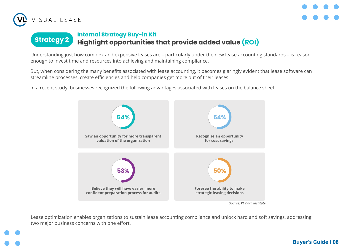



## **Strategy 2 Internal Strategy Buy-in Kit Highlight opportunities that provide added value (ROI)**

Understanding just how complex and expensive leases are – particularly under the new lease accounting standards – is reason enough to invest time and resources into achieving and maintaining compliance.

But, when considering the many benefits associated with lease accounting, it becomes glaringly evident that lease software can streamline processes, create efficiencies and help companies get more out of their leases.

In a recent study, businesses recognized the following advantages associated with leases on the balance sheet:



Lease optimization enables organizations to sustain lease accounting compliance and unlock hard and soft savings, addressing two major business concerns with one effort.

#### **Buyer's Guide I 08**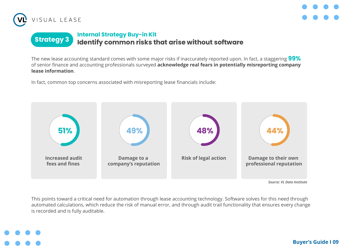



## **Strategy 3 Internal Strategy Buy-in Kit Identify common risks that arise without software**

The new lease accounting standard comes with some major risks if inaccurately reported upon. In fact, a staggering **99%** of senior finance and accounting professionals surveyed **acknowledge real fears in potentially misreporting company lease information**.

In fact, common top concerns associated with misreporting lease financials include:



This points toward a critical need for automation through lease accounting technology. Software solves for this need through automated calculations, which reduce the risk of manual error, and through audit trail functionality that ensures every change is recorded and is fully auditable.

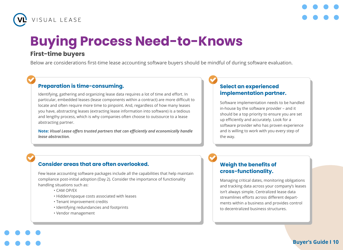



## **Buying Process Need-to-Knows**

#### **First-time buyers**

Below are considerations first-time lease accounting software buyers should be mindful of during software evaluation.

#### **Preparation is time-consuming.**

Identifying, gathering and organizing lease data requires a lot of time and effort. In particular, embedded leases (lease components within a contract) are more difficult to locate and often require more time to pinpoint. And, regardless of how many leases you have, abstracting leases (extracting lease information into software) is a tedious and lengthy process, which is why companies often choose to outsource to a lease abstracting partner.

**Note:** *Visual Lease offers trusted partners that can efficiently and economically handle lease abstraction.*

#### **Select an experienced implementation partner.**

Software implementation needs to be handled in-house by the software provider – and it should be a top priority to ensure you are set up efficiently and accurately. Look for a software provider who has proven experience and is willing to work with you every step of the way.

#### **Consider areas that are often overlooked.**

Few lease accounting software packages include all the capabilities that help maintain compliance post-initial adoption (Day 2). Consider the importance of functionality handling situations such as:

- CAM OP/EX
- Hidden/opaque costs associated with leases
- Tenant improvement credits
- Identifying redundancies and footprints
- Vendor management

#### **Weigh the benefits of cross-functionality.**

Managing critical dates, monitoring obligations and tracking data across your company's leases isn't always simple. Centralized lease data streamlines efforts across different departments within a business and provides control to decentralized business structures.

```
Buyer's Guide I 10
```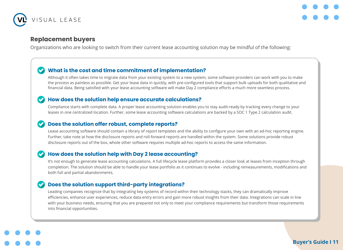



#### **Replacement buyers**

Organizations who are looking to switch from their current lease accounting solution may be mindful of the following:

#### **What is the cost and time commitment of implementation?**

Although it often takes time to migrate data from your existing system to a new system, some software providers can work with you to make the process as painless as possible. Get your lease data in quickly, with pre-configured tools that support bulk uploads for both qualitative and financial data. Being satisfied with your lease accounting software will make Day 2 compliance efforts a much more seamless process.

#### **How does the solution help ensure accurate calculations?**

Compliance starts with complete data. A proper lease accounting solution enables you to stay audit-ready by tracking every change to your leases in one centralized location. Further, some lease accounting software calculations are backed by a SOC 1 Type 2 calculation audit.

#### Ø **Does the solution offer robust, complete reports?**

Lease accounting software should contain a library of report templates and the ability to configure your own with an ad-hoc reporting engine. Further, take note at how the disclosure reports and roll-forward reports are handled within the system. Some solutions provide robust disclosure reports out of the box, whole other software requires multiple ad-hoc reports to access the same information.

#### **How does the solution help with Day 2 lease accounting?** Ø

It's not enough to generate lease accounting calculations. A full lifecycle lease platform provides a closer look at leases from inception through completion. The solution should be able to handle your lease portfolio as it continues to evolve - including remeasurements, modifications and both full and partial abandonments.

#### **Does the solution support third-party integrations?**

Leading companies recognize that by integrating key systems of record within their technology stacks, they can dramatically improve efficiencies, enhance user experiences, reduce data entry errors and gain more robust insights from their data. Integrations can scale in line with your business needs, ensuring that you are prepared not only to meet your compliance requirements but transform those requirements into financial opportunities.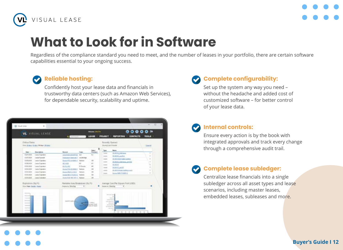



## **What to Look for in Software**

Regardless of the compliance standard you need to meet, and the number of leases in your portfolio, there are certain software capabilities essential to your ongoing success.

#### **Reliable hosting:**

Confidently host your lease data and financials in trustworthy data centers (such as Amazon Web Services), for dependable security, scalability and uptime.

| Critical Dalwa                                                                                                                                                 | The Midso II day Milled Illinois                                                                                                                                                        |                                                                                                                                                                                                                                                                             |                                                                             |                                                                                         |                                                                                                                      | Ratestly Commit<br>Montraj Las Elizabe                                                                                                                                                                                 | <b>Linetist</b>       |
|----------------------------------------------------------------------------------------------------------------------------------------------------------------|-----------------------------------------------------------------------------------------------------------------------------------------------------------------------------------------|-----------------------------------------------------------------------------------------------------------------------------------------------------------------------------------------------------------------------------------------------------------------------------|-----------------------------------------------------------------------------|-----------------------------------------------------------------------------------------|----------------------------------------------------------------------------------------------------------------------|------------------------------------------------------------------------------------------------------------------------------------------------------------------------------------------------------------------------|-----------------------|
| Sep 1<br>EXPUSA<br><b>ELPLICK</b><br>EXPAINER<br><b>SOURCES</b><br>STRUMM.<br><b>STATISTICS</b><br><b>Kindler Service</b><br><b>KARLINA</b><br><b>EDMONT</b>   | <b>Description</b><br>Lake Furnish<br>LapsPlumerk<br>Legion Engineers<br>Lease Equivalent<br>Leise Eugenbar<br>Lees Earlyhe's<br>I asso Francisco<br>Lates Englater<br>Legan Essination | <b>Record</b><br>positive and the first<br>Selection Capitolis Telephone<br><b>Good at Edith At 2012 2 The Good</b><br><b>VELASE</b><br><b>BRANDE</b><br><b>Painter Of ATABALL</b><br>Assess Min.H. 2124.1<br>Jorent DCA 73 (2013) Alpham<br>Autorachult Alexandria, Nashva | <b>Trans</b><br>$\frac{1}{2}$<br>11 Sandy<br><b>Tacher</b><br><b>Guitar</b> | <b>State</b><br>Frontes<br>tu.<br>×<br>$\leftarrow$<br>u<br>$\sim$<br>GHT<br>OH<br>ini. | <b>Teles</b><br>1 Avenue<br><b>Local</b><br>1444<br>Links<br>Lines.<br><b>Service</b><br><b>Lake Cole</b><br>1 month | <b>Bally</b><br><b>SLECIA, Tallinger</b><br><b>SLAVIS Justice</b><br><b>CONTRACTOR AND IN</b><br><b>DESIGN SURFACE ANCHOR</b><br>49, 69, 53<br><b>WARDLAND</b><br>00.00.0 model badlets overall<br>Aurora 2005 FRANKLI | ٠<br>٠<br>٠<br>٠<br>٠ |
| Expirations (Sig.Fig.<br><b>Hina Yeard Markin Stealer</b><br>-<br>-<br><b>Sales A</b><br>de ser cer-<br><b>SCHOOL</b><br><b>Similar</b><br><b>District Co.</b> |                                                                                                                                                                                         | Remistre Area Breakstown (Sq.Ft)<br>linear to Drawing                                                                                                                                                                                                                       |                                                                             | <b>LOSEN</b><br>an agriculture<br>are of County                                         | <b>Jiwierin Bealing</b>                                                                                              | Avenue Cret Per Square Ford (USD)<br><b>CONTRACTOR</b><br>$\sim$<br><b>Contractor</b><br>and that<br>and families.<br><b>STAN HOTEL</b><br><b>State Street</b><br><b>BOARD TO</b><br>--<br>$\sim$                      |                       |

### **Complete configurability:**

Set up the system any way you need – without the headache and added cost of customized software – for better control of your lease data.

### **Internal controls:**

Ensure every action is by the book with integrated approvals and track every change through a comprehensive audit trail.

### **Complete lease subledger:**

Centralize lease financials into a single subledger across all asset types and lease scenarios, including master leases, embedded leases, subleases and more.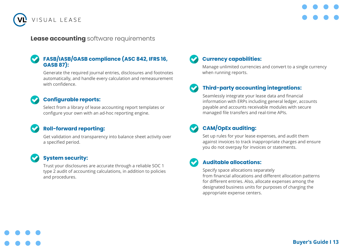

#### **Lease accounting** software requirements

#### **FASB/IASB/GASB compliance (ASC 842, IFRS 16, GASB 87):**

Generate the required journal entries, disclosures and footnotes automatically, and handle every calculation and remeasurement with confidence.

#### **Configurable reports:**

Select from a library of lease accounting report templates or configure your own with an ad-hoc reporting engine.

#### **Roll-forward reporting:**

Get validation and transparency into balance sheet activity over a specified period.

#### **System security:**

Trust your disclosures are accurate through a reliable SOC 1 type 2 audit of accounting calculations, in addition to policies and procedures.

### **Currency capabilities:**

Manage unlimited currencies and convert to a single currency when running reports.

#### **Third-party accounting integrations:**

Seamlessly integrate your lease data and financial information with ERPs including general ledger, accounts payable and accounts receivable modules with secure managed file transfers and real-time APIs.

### **CAM/OpEx auditing:**

Set up rules for your lease expenses, and audit them against invoices to track inappropriate charges and ensure you do not overpay for invoices or statements.

#### **Auditable allocations:**

Specify space allocations separately from financial allocations and different allocation patterns for different entries. Also, allocate expenses among the designated business units for purposes of charging the appropriate expense centers.

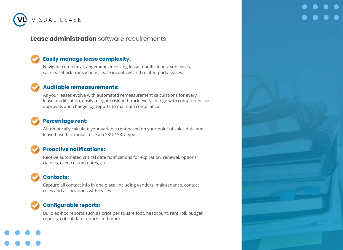

#### **Lease administration** software requirements

#### **Easily manage lease complexity:**

Navigate complex arrangements involving lease modifications, subleases, sale-leaseback transactions, lease incentives and related-party leases.

#### **Auditable remeasurements:**

As your leases evolve with automated remeasurement calculations for every lease modification, easily mitigate risk and track every change with comprehensive approvals and change log reports to maintain compliance.

#### **Percentage rent:**

Automatically calculate your variable rent based on your point of sales data and lease-based formulas for each SKU / SKU type.

#### **Proactive notifications:**

Receive automated critical date notifications for expiration, renewal, options, clauses, even custom dates, etc.

### **Contacts:**

Capture all contact info in one place, including vendors, maintenance, contact roles and associations with leases.

#### **Configurable reports:**

Build ad-hoc reports such as price per square foot, headcount, rent roll, budget reports, critical date reports and more.